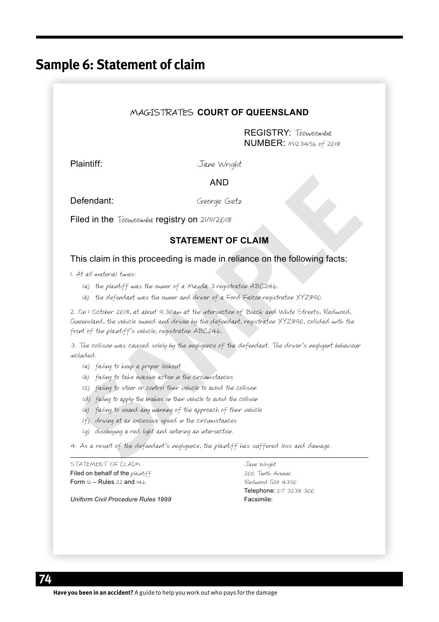# **Sample 6: Statement of claim**

### MAGISTRATES **COURT OF QUEENSLAND**

REGISTRY: Toowoomba NUMBER: M123456 of 2018

Plaintiff: Jane Wright

AND

Defendant: George Getz

Filed in the Toowoomba registry on 21/11/2018

### **STATEMENT OF CLAIM**

This claim in this proceeding is made in reliance on the following facts:

1. At all material times:

- (a) the plaintiff was the owner of a Mazda 3 registration ABC246.
- (b) the defendant was the owner and driver of a Ford Falcon registration XYZ890.

**Seerage Getz**<br> **SEATEMENT OF CLAIM**<br> **SEATEMENT OF CLAIM**<br> **STATEMENT OF CLAIM**<br> **STATEMENT OF CLAIM**<br>
This claim in this proceeding is made in reliance on the following facts:<br>
At all nateral times:<br>
(a) the plantiff was 2. On 1 October 2018, at about 9.30am at the intersection of Black and White Streets, Redwood, Queensland, the vehicle owned and driven by the defendant, registration XYZ890, collided with the front of the plaintiff's vehicle, registration ABC246.

3. The collision was caused solely by the negligence of the defendant. The driver's negligent behaviour included:

- (a) failing to keep a proper lookout
- (b) failing to take evasive action in the circumstances
- (c) failing to steer or control their vehicle to avoid the collision
- (d) failing to apply the brakes on their vehicle to avoid the collision
- (e) failing to sound any warning of the approach of their vehicle
- (f) driving at an excessive speed in the circumstances
- (g) disobeying a red light and entering an intersection.

4. As a result of the defendant's negligence, the plaintiff has suffered loss and damage.

STATEMENT OF CLAIM GALLERY CONTROLLERY CONTROLLERY OF CLAIM Filed on behalf of the plaintiff **1996** Tenth Avenue Form 16 – Rules 22 and 146 Redwood Qld 4350

*Uniform Civil Procedure Rules 1999* Facsimile:

Telephone: 07 3238 300